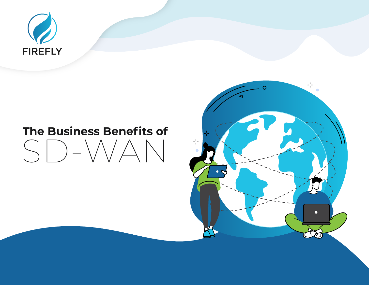

# **The Business Benefits of**  $SD-  $W$$

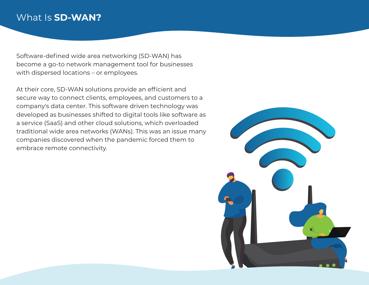## What Is **SD-WAN?**

Software-defined wide area networking (SD-WAN) has become a go-to network management tool for businesses with dispersed locations – or employees.

At their core, SD-WAN solutions provide an efficient and secure way to connect clients, employees, and customers to a company's data center. This software driven technology was developed as businesses shifted to digital tools like software as a service (SaaS) and other cloud solutions, which overloaded traditional wide area networks (WANs). This was an issue many companies discovered when the pandemic forced them to embrace remote connectivity.

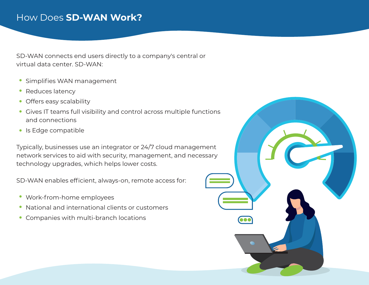## How Does **SD-WAN Work?**

SD-WAN connects end users directly to a company's central or virtual data center. SD-WAN:

- **Simplifies WAN management**
- Reduces latency  $\bullet$
- Offers easy scalability
- Gives IT teams full visibility and control across multiple functions and connections
- Is Edge compatible

Typically, businesses use an integrator or 24/7 cloud management network services to aid with security, management, and necessary technology upgrades, which helps lower costs.

SD-WAN enables efficient, always-on, remote access for:

- Work-from-home employees
- National and international clients or customers
- Companies with multi-branch locations

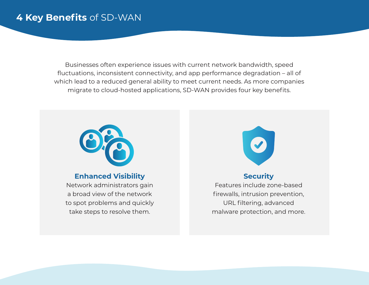## **4 Key Benefits** of SD-WAN

Businesses often experience issues with current network bandwidth, speed fluctuations, inconsistent connectivity, and app performance degradation – all of which lead to a reduced general ability to meet current needs. As more companies migrate to cloud-hosted applications, SD-WAN provides four key benefits.



#### **Enhanced Visibility**

Network administrators gain a broad view of the network to spot problems and quickly take steps to resolve them.



#### **Security**

Features include zone-based firewalls, intrusion prevention, URL filtering, advanced malware protection, and more.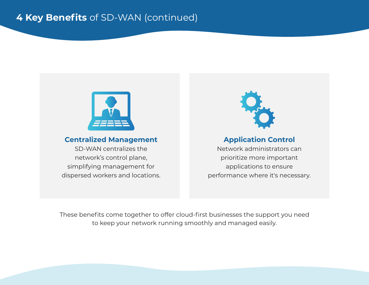

#### **Centralized Management**

SD-WAN centralizes the network's control plane, simplifying management for dispersed workers and locations.



### **Application Control**

Network administrators can prioritize more important applications to ensure performance where it's necessary.

These benefits come together to offer cloud-first businesses the support you need to keep your network running smoothly and managed easily.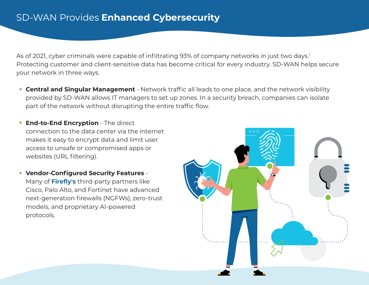As of 2021, cyber criminals were capable of infiltrating 93% of company networks in just two days.<sup>1</sup> Protecting customer and client-sensitive data has become critical for every industry. SD-WAN helps secure your network in three ways.

- **Central and Singular Management** Network traffic all leads to one place, and the network visibility provided by SD-WAN allows IT managers to set up zones. In a security breach, companies can isolate part of the network without disrupting the entire traffic flow.
- **End-to-End Encryption** The direct connection to the data center via the internet makes it easy to encrypt data and limit user access to unsafe or compromised apps or websites (URL filtering).
- **Vendor-Configured Security Features** Many of **[Firefly's](https://fireflytele.com/)** third-party partners like Cisco, Palo Alto, and Fortinet have advanced next-generation firewalls (NGFWs), zero-trust models, and proprietary AI-powered protocols.

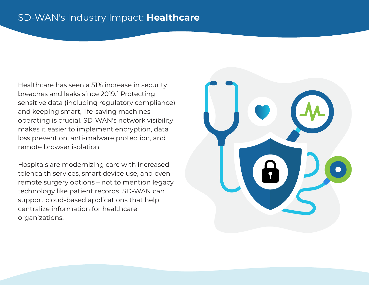## SD-WAN's Industry Impact: **Healthcare**

Healthcare has seen a 51% increase in security breaches and leaks since 2019.<sup>2</sup> Protecting sensitive data (including regulatory compliance) and keeping smart, life-saving machines operating is crucial. SD-WAN's network visibility makes it easier to implement encryption, data loss prevention, anti-malware protection, and remote browser isolation.

Hospitals are modernizing care with increased telehealth services, smart device use, and even remote surgery options – not to mention legacy technology like patient records. SD-WAN can support cloud-based applications that help centralize information for healthcare organizations.

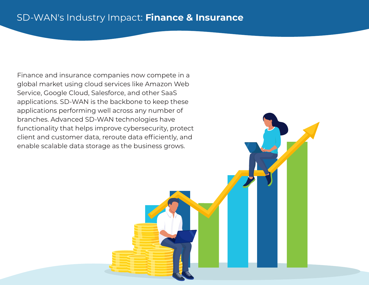## SD-WAN's Industry Impact: **Finance & Insurance**

Finance and insurance companies now compete in a global market using cloud services like Amazon Web Service, Google Cloud, Salesforce, and other SaaS applications. SD-WAN is the backbone to keep these applications performing well across any number of branches. Advanced SD-WAN technologies have functionality that helps improve cybersecurity, protect client and customer data, reroute data efficiently, and enable scalable data storage as the business grows.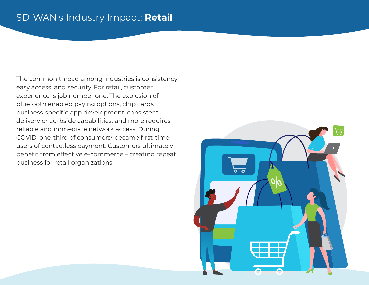## SD-WAN's Industry Impact: **Retail**

The common thread among industries is consistency, easy access, and security. For retail, customer experience is job number one. The explosion of bluetooth enabled paying options, chip cards, business-specific app development, consistent delivery or curbside capabilities, and more requires reliable and immediate network access. During COVID, one-third of consumers<sup>3</sup> became first-time users of contactless payment. Customers ultimately benefit from effective e-commerce – creating repeat business for retail organizations.

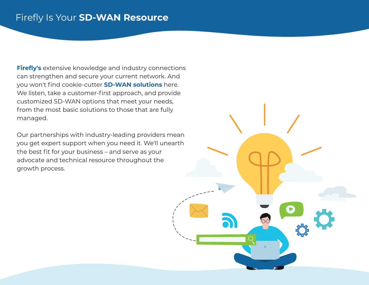## Firefly Is Your **SD-WAN Resource**

**[Firefly's](https://fireflytele.com/)** extensive knowledge and industry connections can strengthen and secure your current network. And you won't find cookie-cutter **[SD-WAN solutions](https://fireflytele.com/internet-network-connectivity-sd-wan/)** here. We listen, take a customer-first approach, and provide customized SD-WAN options that meet your needs, from the most basic solutions to those that are fully managed.

Our partnerships with industry-leading providers mean you get expert support when you need it. We'll unearth the best fit for your business – and serve as your advocate and technical resource throughout the growth process.